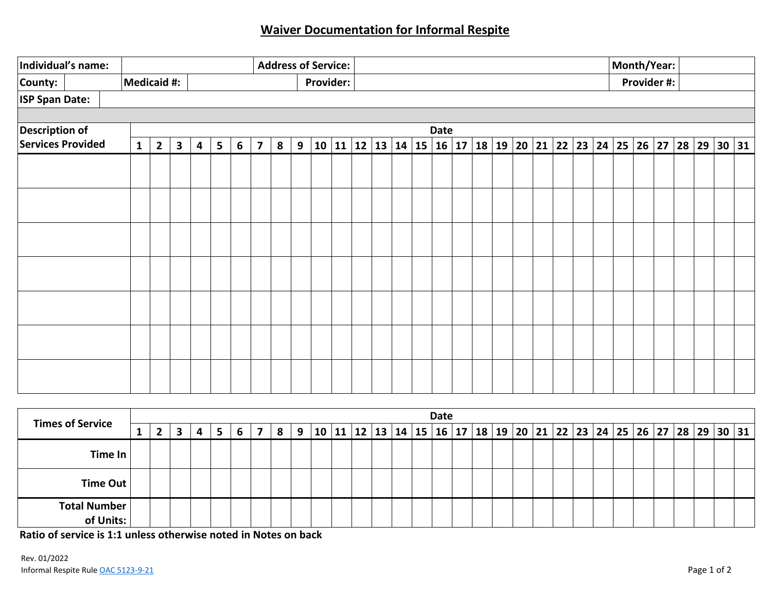## **Waiver Documentation for Informal Respite**

| Individual's name:    |  |  |              |                |              |   |                |   |                         | <b>Address of Service:</b> |   |  |  |          |  |                        |  |      |  |  |  |  |  |                                       |  |             | Month/Year: |       |             |  |  |  |
|-----------------------|--|--|--------------|----------------|--------------|---|----------------|---|-------------------------|----------------------------|---|--|--|----------|--|------------------------|--|------|--|--|--|--|--|---------------------------------------|--|-------------|-------------|-------|-------------|--|--|--|
| County:               |  |  |              | Medicaid #:    |              |   |                |   |                         | <b>Provider:</b>           |   |  |  |          |  |                        |  |      |  |  |  |  |  |                                       |  | Provider #: |             |       |             |  |  |  |
| <b>ISP Span Date:</b> |  |  |              |                |              |   |                |   |                         |                            |   |  |  |          |  |                        |  |      |  |  |  |  |  |                                       |  |             |             |       |             |  |  |  |
|                       |  |  |              |                |              |   |                |   |                         |                            |   |  |  |          |  |                        |  |      |  |  |  |  |  |                                       |  |             |             |       |             |  |  |  |
| <b>Description of</b> |  |  |              |                |              |   |                |   |                         |                            |   |  |  |          |  |                        |  | Date |  |  |  |  |  |                                       |  |             |             |       |             |  |  |  |
| Services Provided     |  |  | $\mathbf{1}$ | $\overline{2}$ | $\mathbf{3}$ | 4 | $5\phantom{1}$ | 6 | $\overline{\mathbf{z}}$ | 8                          | 9 |  |  | 10 11 12 |  | 13   14   15   16   17 |  |      |  |  |  |  |  | 18   19   20   21   22   23   24   25 |  |             |             | 26 27 | 28 29 30 31 |  |  |  |
|                       |  |  |              |                |              |   |                |   |                         |                            |   |  |  |          |  |                        |  |      |  |  |  |  |  |                                       |  |             |             |       |             |  |  |  |
|                       |  |  |              |                |              |   |                |   |                         |                            |   |  |  |          |  |                        |  |      |  |  |  |  |  |                                       |  |             |             |       |             |  |  |  |
|                       |  |  |              |                |              |   |                |   |                         |                            |   |  |  |          |  |                        |  |      |  |  |  |  |  |                                       |  |             |             |       |             |  |  |  |
|                       |  |  |              |                |              |   |                |   |                         |                            |   |  |  |          |  |                        |  |      |  |  |  |  |  |                                       |  |             |             |       |             |  |  |  |
|                       |  |  |              |                |              |   |                |   |                         |                            |   |  |  |          |  |                        |  |      |  |  |  |  |  |                                       |  |             |             |       |             |  |  |  |
|                       |  |  |              |                |              |   |                |   |                         |                            |   |  |  |          |  |                        |  |      |  |  |  |  |  |                                       |  |             |             |       |             |  |  |  |
|                       |  |  |              |                |              |   |                |   |                         |                            |   |  |  |          |  |                        |  |      |  |  |  |  |  |                                       |  |             |             |       |             |  |  |  |

|                                  |  |              |   |   |   |   |   |    |  |  | <b>Date</b> |  |  |  |  |  |  |  |                                                                                                        |
|----------------------------------|--|--------------|---|---|---|---|---|----|--|--|-------------|--|--|--|--|--|--|--|--------------------------------------------------------------------------------------------------------|
| <b>Times of Service</b>          |  | $\mathbf{z}$ | 3 | 4 | 6 | 8 | 9 | 10 |  |  |             |  |  |  |  |  |  |  | 11   12   13   14   15   16   17   18   19   20   21   22   23   24   25   26   27   28   29   30   31 |
| Time In                          |  |              |   |   |   |   |   |    |  |  |             |  |  |  |  |  |  |  |                                                                                                        |
| Time Out                         |  |              |   |   |   |   |   |    |  |  |             |  |  |  |  |  |  |  |                                                                                                        |
| <b>Total Number</b><br>of Units: |  |              |   |   |   |   |   |    |  |  |             |  |  |  |  |  |  |  |                                                                                                        |

**Ratio of service is 1:1 unless otherwise noted in Notes on back**